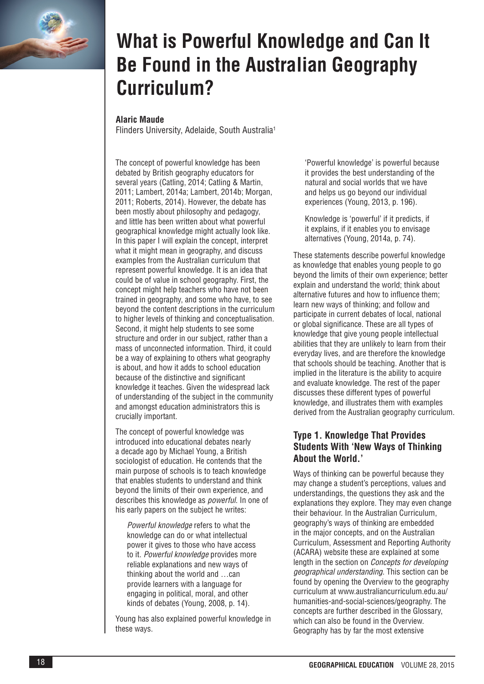

# **What is Powerful Knowledge and Can It Be Found in the Australian Geography Curriculum?**

#### **Alaric Maude**

Flinders University, Adelaide, South Australia1

The concept of powerful knowledge has been debated by British geography educators for several years (Catling, 2014; Catling & Martin, 2011; Lambert, 2014a; Lambert, 2014b; Morgan, 2011; Roberts, 2014). However, the debate has been mostly about philosophy and pedagogy, and little has been written about what powerful geographical knowledge might actually look like. In this paper I will explain the concept, interpret what it might mean in geography, and discuss examples from the Australian curriculum that represent powerful knowledge. It is an idea that could be of value in school geography. First, the concept might help teachers who have not been trained in geography, and some who have, to see beyond the content descriptions in the curriculum to higher levels of thinking and conceptualisation. Second, it might help students to see some structure and order in our subject, rather than a mass of unconnected information. Third, it could be a way of explaining to others what geography is about, and how it adds to school education because of the distinctive and significant knowledge it teaches. Given the widespread lack of understanding of the subject in the community and amongst education administrators this is crucially important.

The concept of powerful knowledge was introduced into educational debates nearly a decade ago by Michael Young, a British sociologist of education. He contends that the main purpose of schools is to teach knowledge that enables students to understand and think beyond the limits of their own experience, and describes this knowledge as *powerful*. In one of his early papers on the subject he writes:

*Powerful knowledge* refers to what the knowledge can do or what intellectual power it gives to those who have access to it. *Powerful knowledge* provides more reliable explanations and new ways of thinking about the world and …can provide learners with a language for engaging in political, moral, and other kinds of debates (Young, 2008, p. 14).

Young has also explained powerful knowledge in these ways.

'Powerful knowledge' is powerful because it provides the best understanding of the natural and social worlds that we have and helps us go beyond our individual experiences (Young, 2013, p. 196).

Knowledge is 'powerful' if it predicts, if it explains, if it enables you to envisage alternatives (Young, 2014a, p. 74).

These statements describe powerful knowledge as knowledge that enables young people to go beyond the limits of their own experience; better explain and understand the world; think about alternative futures and how to influence them; learn new ways of thinking; and follow and participate in current debates of local, national or global significance. These are all types of knowledge that give young people intellectual abilities that they are unlikely to learn from their everyday lives, and are therefore the knowledge that schools should be teaching. Another that is implied in the literature is the ability to acquire and evaluate knowledge. The rest of the paper discusses these different types of powerful knowledge, and illustrates them with examples derived from the Australian geography curriculum.

## **Type 1. Knowledge That Provides Students With 'New Ways of Thinking About the World.'**

Ways of thinking can be powerful because they may change a student's perceptions, values and understandings, the questions they ask and the explanations they explore. They may even change their behaviour. In the Australian Curriculum, geography's ways of thinking are embedded in the major concepts, and on the Australian Curriculum, Assessment and Reporting Authority (ACARA) website these are explained at some length in the section on *Concepts for developing geographical understanding*. This section can be found by opening the Overview to the geography curriculum at www.australiancurriculum.edu.au/ humanities-and-social-sciences/geography. The concepts are further described in the Glossary, which can also be found in the Overview. Geography has by far the most extensive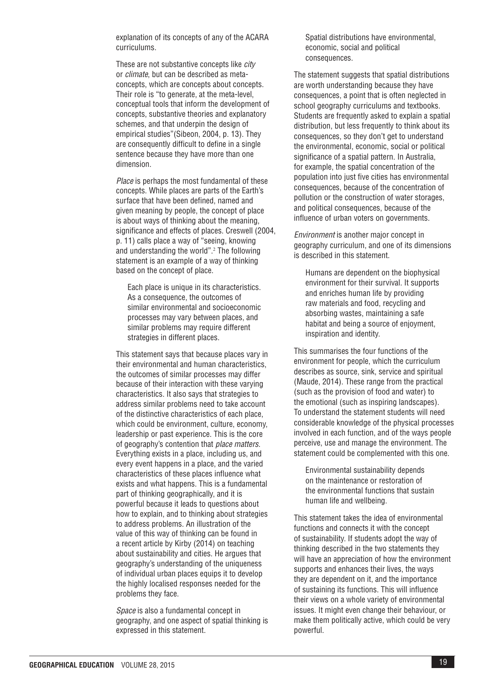explanation of its concepts of any of the ACARA curriculums.

These are not substantive concepts like *city* or *climate*, but can be described as metaconcepts, which are concepts about concepts. Their role is "to generate, at the meta-level, conceptual tools that inform the development of concepts, substantive theories and explanatory schemes, and that underpin the design of empirical studies"(Sibeon, 2004, p. 13). They are consequently difficult to define in a single sentence because they have more than one dimension.

*Place* is perhaps the most fundamental of these concepts. While places are parts of the Earth's surface that have been defined, named and given meaning by people, the concept of place is about ways of thinking about the meaning, significance and effects of places. Creswell (2004, p. 11) calls place a way of "seeing, knowing and understanding the world".<sup>2</sup> The following statement is an example of a way of thinking based on the concept of place.

Each place is unique in its characteristics. As a consequence, the outcomes of similar environmental and socioeconomic processes may vary between places, and similar problems may require different strategies in different places.

This statement says that because places vary in their environmental and human characteristics, the outcomes of similar processes may differ because of their interaction with these varying characteristics. It also says that strategies to address similar problems need to take account of the distinctive characteristics of each place, which could be environment, culture, economy, leadership or past experience. This is the core of geography's contention that *place matters*. Everything exists in a place, including us, and every event happens in a place, and the varied characteristics of these places influence what exists and what happens. This is a fundamental part of thinking geographically, and it is powerful because it leads to questions about how to explain, and to thinking about strategies to address problems. An illustration of the value of this way of thinking can be found in a recent article by Kirby (2014) on teaching about sustainability and cities. He argues that geography's understanding of the uniqueness of individual urban places equips it to develop the highly localised responses needed for the problems they face.

*Space* is also a fundamental concept in geography, and one aspect of spatial thinking is expressed in this statement.

Spatial distributions have environmental, economic, social and political consequences.

The statement suggests that spatial distributions are worth understanding because they have consequences, a point that is often neglected in school geography curriculums and textbooks. Students are frequently asked to explain a spatial distribution, but less frequently to think about its consequences, so they don't get to understand the environmental, economic, social or political significance of a spatial pattern. In Australia, for example, the spatial concentration of the population into just five cities has environmental consequences, because of the concentration of pollution or the construction of water storages, and political consequences, because of the influence of urban voters on governments.

*Environment* is another major concept in geography curriculum, and one of its dimensions is described in this statement.

Humans are dependent on the biophysical environment for their survival. It supports and enriches human life by providing raw materials and food, recycling and absorbing wastes, maintaining a safe habitat and being a source of enjoyment, inspiration and identity.

This summarises the four functions of the environment for people, which the curriculum describes as source, sink, service and spiritual (Maude, 2014). These range from the practical (such as the provision of food and water) to the emotional (such as inspiring landscapes). To understand the statement students will need considerable knowledge of the physical processes involved in each function, and of the ways people perceive, use and manage the environment. The statement could be complemented with this one.

Environmental sustainability depends on the maintenance or restoration of the environmental functions that sustain human life and wellbeing.

This statement takes the idea of environmental functions and connects it with the concept of sustainability. If students adopt the way of thinking described in the two statements they will have an appreciation of how the environment supports and enhances their lives, the ways they are dependent on it, and the importance of sustaining its functions. This will influence their views on a whole variety of environmental issues. It might even change their behaviour, or make them politically active, which could be very powerful.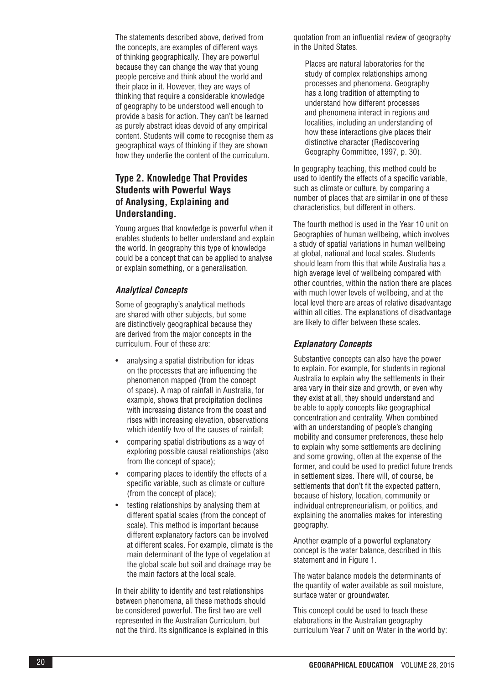The statements described above, derived from the concepts, are examples of different ways of thinking geographically. They are powerful because they can change the way that young people perceive and think about the world and their place in it. However, they are ways of thinking that require a considerable knowledge of geography to be understood well enough to provide a basis for action. They can't be learned as purely abstract ideas devoid of any empirical content. Students will come to recognise them as geographical ways of thinking if they are shown how they underlie the content of the curriculum.

# **Type 2. Knowledge That Provides Students with Powerful Ways of Analysing, Explaining and Understanding.**

Young argues that knowledge is powerful when it enables students to better understand and explain the world. In geography this type of knowledge could be a concept that can be applied to analyse or explain something, or a generalisation.

#### *Analytical Concepts*

Some of geography's analytical methods are shared with other subjects, but some are distinctively geographical because they are derived from the major concepts in the curriculum. Four of these are:

- analysing a spatial distribution for ideas on the processes that are influencing the phenomenon mapped (from the concept of space). A map of rainfall in Australia, for example, shows that precipitation declines with increasing distance from the coast and rises with increasing elevation, observations which identify two of the causes of rainfall;
- comparing spatial distributions as a way of exploring possible causal relationships (also from the concept of space);
- comparing places to identify the effects of a specific variable, such as climate or culture (from the concept of place);
- testing relationships by analysing them at different spatial scales (from the concept of scale). This method is important because different explanatory factors can be involved at different scales. For example, climate is the main determinant of the type of vegetation at the global scale but soil and drainage may be the main factors at the local scale.

In their ability to identify and test relationships between phenomena, all these methods should be considered powerful. The first two are well represented in the Australian Curriculum, but not the third. Its significance is explained in this quotation from an influential review of geography in the United States.

Places are natural laboratories for the study of complex relationships among processes and phenomena. Geography has a long tradition of attempting to understand how different processes and phenomena interact in regions and localities, including an understanding of how these interactions give places their distinctive character (Rediscovering Geography Committee, 1997, p. 30).

In geography teaching, this method could be used to identify the effects of a specific variable, such as climate or culture, by comparing a number of places that are similar in one of these characteristics, but different in others.

The fourth method is used in the Year 10 unit on Geographies of human wellbeing, which involves a study of spatial variations in human wellbeing at global, national and local scales. Students should learn from this that while Australia has a high average level of wellbeing compared with other countries, within the nation there are places with much lower levels of wellbeing, and at the local level there are areas of relative disadvantage within all cities. The explanations of disadvantage are likely to differ between these scales.

#### *Explanatory Concepts*

Substantive concepts can also have the power to explain. For example, for students in regional Australia to explain why the settlements in their area vary in their size and growth, or even why they exist at all, they should understand and be able to apply concepts like geographical concentration and centrality. When combined with an understanding of people's changing mobility and consumer preferences, these help to explain why some settlements are declining and some growing, often at the expense of the former, and could be used to predict future trends in settlement sizes. There will, of course, be settlements that don't fit the expected pattern, because of history, location, community or individual entrepreneurialism, or politics, and explaining the anomalies makes for interesting geography.

Another example of a powerful explanatory concept is the water balance, described in this statement and in Figure 1.

The water balance models the determinants of the quantity of water available as soil moisture, surface water or groundwater.

This concept could be used to teach these elaborations in the Australian geography curriculum Year 7 unit on Water in the world by: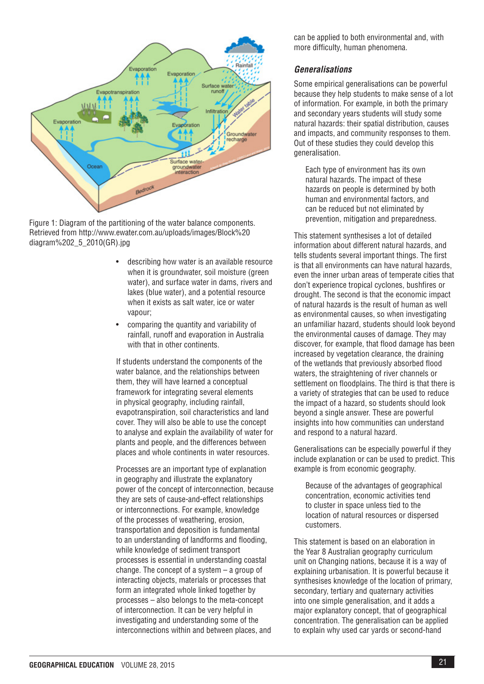

Figure 1: Diagram of the partitioning of the water balance components. Retrieved from http://www.ewater.com.au/uploads/images/Block%20 diagram%202\_5\_2010(GR).jpg

- describing how water is an available resource when it is groundwater, soil moisture (green water), and surface water in dams, rivers and lakes (blue water), and a potential resource when it exists as salt water, ice or water vapour;
- comparing the quantity and variability of rainfall, runoff and evaporation in Australia with that in other continents.

If students understand the components of the water balance, and the relationships between them, they will have learned a conceptual framework for integrating several elements in physical geography, including rainfall, evapotranspiration, soil characteristics and land cover. They will also be able to use the concept to analyse and explain the availability of water for plants and people, and the differences between places and whole continents in water resources.

Processes are an important type of explanation in geography and illustrate the explanatory power of the concept of interconnection, because they are sets of cause-and-effect relationships or interconnections. For example, knowledge of the processes of weathering, erosion, transportation and deposition is fundamental to an understanding of landforms and flooding, while knowledge of sediment transport processes is essential in understanding coastal change. The concept of a system – a group of interacting objects, materials or processes that form an integrated whole linked together by processes – also belongs to the meta-concept of interconnection. It can be very helpful in investigating and understanding some of the interconnections within and between places, and

can be applied to both environmental and, with more difficulty, human phenomena.

### *Generalisations*

Some empirical generalisations can be powerful because they help students to make sense of a lot of information. For example, in both the primary and secondary years students will study some natural hazards: their spatial distribution, causes and impacts, and community responses to them. Out of these studies they could develop this generalisation.

Each type of environment has its own natural hazards. The impact of these hazards on people is determined by both human and environmental factors, and can be reduced but not eliminated by prevention, mitigation and preparedness.

This statement synthesises a lot of detailed information about different natural hazards, and tells students several important things. The first is that all environments can have natural hazards, even the inner urban areas of temperate cities that don't experience tropical cyclones, bushfires or drought. The second is that the economic impact of natural hazards is the result of human as well as environmental causes, so when investigating an unfamiliar hazard, students should look beyond the environmental causes of damage. They may discover, for example, that flood damage has been increased by vegetation clearance, the draining of the wetlands that previously absorbed flood waters, the straightening of river channels or settlement on floodplains. The third is that there is a variety of strategies that can be used to reduce the impact of a hazard, so students should look beyond a single answer. These are powerful insights into how communities can understand and respond to a natural hazard.

Generalisations can be especially powerful if they include explanation or can be used to predict. This example is from economic geography.

Because of the advantages of geographical concentration, economic activities tend to cluster in space unless tied to the location of natural resources or dispersed customers.

This statement is based on an elaboration in the Year 8 Australian geography curriculum unit on Changing nations, because it is a way of explaining urbanisation. It is powerful because it synthesises knowledge of the location of primary, secondary, tertiary and quaternary activities into one simple generalisation, and it adds a major explanatory concept, that of geographical concentration. The generalisation can be applied to explain why used car yards or second-hand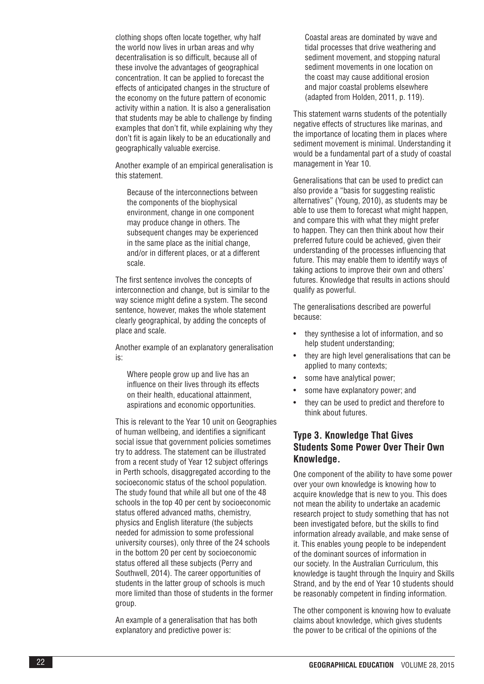clothing shops often locate together, why half the world now lives in urban areas and why decentralisation is so difficult, because all of these involve the advantages of geographical concentration. It can be applied to forecast the effects of anticipated changes in the structure of the economy on the future pattern of economic activity within a nation. It is also a generalisation that students may be able to challenge by finding examples that don't fit, while explaining why they don't fit is again likely to be an educationally and geographically valuable exercise.

Another example of an empirical generalisation is this statement.

Because of the interconnections between the components of the biophysical environment, change in one component may produce change in others. The subsequent changes may be experienced in the same place as the initial change, and/or in different places, or at a different scale.

The first sentence involves the concepts of interconnection and change, but is similar to the way science might define a system. The second sentence, however, makes the whole statement clearly geographical, by adding the concepts of place and scale.

Another example of an explanatory generalisation is:

Where people grow up and live has an influence on their lives through its effects on their health, educational attainment, aspirations and economic opportunities.

This is relevant to the Year 10 unit on Geographies of human wellbeing, and identifies a significant social issue that government policies sometimes try to address. The statement can be illustrated from a recent study of Year 12 subject offerings in Perth schools, disaggregated according to the socioeconomic status of the school population. The study found that while all but one of the 48 schools in the top 40 per cent by socioeconomic status offered advanced maths, chemistry, physics and English literature (the subjects needed for admission to some professional university courses), only three of the 24 schools in the bottom 20 per cent by socioeconomic status offered all these subjects (Perry and Southwell, 2014). The career opportunities of students in the latter group of schools is much more limited than those of students in the former group.

An example of a generalisation that has both explanatory and predictive power is:

Coastal areas are dominated by wave and tidal processes that drive weathering and sediment movement, and stopping natural sediment movements in one location on the coast may cause additional erosion and major coastal problems elsewhere (adapted from Holden, 2011, p. 119).

This statement warns students of the potentially negative effects of structures like marinas, and the importance of locating them in places where sediment movement is minimal. Understanding it would be a fundamental part of a study of coastal management in Year 10.

Generalisations that can be used to predict can also provide a "basis for suggesting realistic alternatives" (Young, 2010), as students may be able to use them to forecast what might happen, and compare this with what they might prefer to happen. They can then think about how their preferred future could be achieved, given their understanding of the processes influencing that future. This may enable them to identify ways of taking actions to improve their own and others' futures. Knowledge that results in actions should qualify as powerful.

The generalisations described are powerful because:

- they synthesise a lot of information, and so help student understanding;
- they are high level generalisations that can be applied to many contexts;
- some have analytical power;
- some have explanatory power; and
- they can be used to predict and therefore to think about futures.

# **Type 3. Knowledge That Gives Students Some Power Over Their Own Knowledge.**

One component of the ability to have some power over your own knowledge is knowing how to acquire knowledge that is new to you. This does not mean the ability to undertake an academic research project to study something that has not been investigated before, but the skills to find information already available, and make sense of it. This enables young people to be independent of the dominant sources of information in our society. In the Australian Curriculum, this knowledge is taught through the Inquiry and Skills Strand, and by the end of Year 10 students should be reasonably competent in finding information.

The other component is knowing how to evaluate claims about knowledge, which gives students the power to be critical of the opinions of the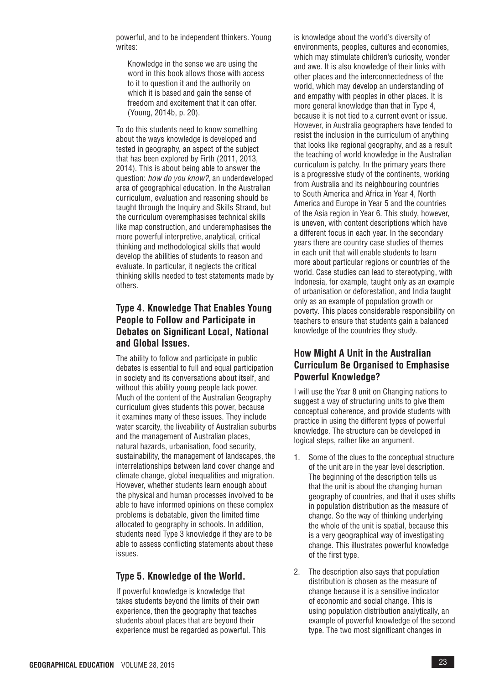powerful, and to be independent thinkers. Young writes:

Knowledge in the sense we are using the word in this book allows those with access to it to question it and the authority on which it is based and gain the sense of freedom and excitement that it can offer. (Young, 2014b, p. 20).

To do this students need to know something about the ways knowledge is developed and tested in geography, an aspect of the subject that has been explored by Firth (2011, 2013, 2014). This is about being able to answer the question: *how do you know?*, an underdeveloped area of geographical education. In the Australian curriculum, evaluation and reasoning should be taught through the Inquiry and Skills Strand, but the curriculum overemphasises technical skills like map construction, and underemphasises the more powerful interpretive, analytical, critical thinking and methodological skills that would develop the abilities of students to reason and evaluate. In particular, it neglects the critical thinking skills needed to test statements made by others.

# **Type 4. Knowledge That Enables Young People to Follow and Participate in Debates on Significant Local, National and Global Issues.**

The ability to follow and participate in public debates is essential to full and equal participation in society and its conversations about itself, and without this ability young people lack power. Much of the content of the Australian Geography curriculum gives students this power, because it examines many of these issues. They include water scarcity, the liveability of Australian suburbs and the management of Australian places, natural hazards, urbanisation, food security, sustainability, the management of landscapes, the interrelationships between land cover change and climate change, global inequalities and migration. However, whether students learn enough about the physical and human processes involved to be able to have informed opinions on these complex problems is debatable, given the limited time allocated to geography in schools. In addition, students need Type 3 knowledge if they are to be able to assess conflicting statements about these issues.

# **Type 5. Knowledge of the World.**

If powerful knowledge is knowledge that takes students beyond the limits of their own experience, then the geography that teaches students about places that are beyond their experience must be regarded as powerful. This is knowledge about the world's diversity of environments, peoples, cultures and economies, which may stimulate children's curiosity, wonder and awe. It is also knowledge of their links with other places and the interconnectedness of the world, which may develop an understanding of and empathy with peoples in other places. It is more general knowledge than that in Type 4, because it is not tied to a current event or issue. However, in Australia geographers have tended to resist the inclusion in the curriculum of anything that looks like regional geography, and as a result the teaching of world knowledge in the Australian curriculum is patchy. In the primary years there is a progressive study of the continents, working from Australia and its neighbouring countries to South America and Africa in Year 4, North America and Europe in Year 5 and the countries of the Asia region in Year 6. This study, however, is uneven, with content descriptions which have a different focus in each year. In the secondary years there are country case studies of themes in each unit that will enable students to learn more about particular regions or countries of the world. Case studies can lead to stereotyping, with Indonesia, for example, taught only as an example of urbanisation or deforestation, and India taught only as an example of population growth or poverty. This places considerable responsibility on teachers to ensure that students gain a balanced knowledge of the countries they study.

# **How Might A Unit in the Australian Curriculum Be Organised to Emphasise Powerful Knowledge?**

I will use the Year 8 unit on Changing nations to suggest a way of structuring units to give them conceptual coherence, and provide students with practice in using the different types of powerful knowledge. The structure can be developed in logical steps, rather like an argument.

- 1. Some of the clues to the conceptual structure of the unit are in the year level description. The beginning of the description tells us that the unit is about the changing human geography of countries, and that it uses shifts in population distribution as the measure of change. So the way of thinking underlying the whole of the unit is spatial, because this is a very geographical way of investigating change. This illustrates powerful knowledge of the first type.
- 2. The description also says that population distribution is chosen as the measure of change because it is a sensitive indicator of economic and social change. This is using population distribution analytically, an example of powerful knowledge of the second type. The two most significant changes in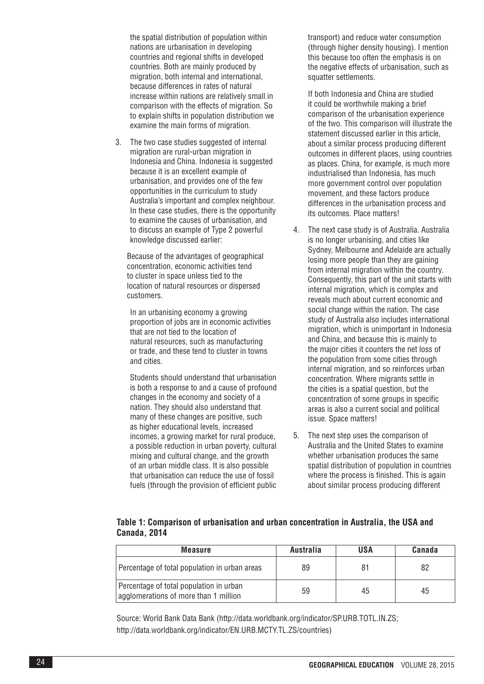the spatial distribution of population within nations are urbanisation in developing countries and regional shifts in developed countries. Both are mainly produced by migration, both internal and international, because differences in rates of natural increase within nations are relatively small in comparison with the effects of migration. So to explain shifts in population distribution we examine the main forms of migration.

3. The two case studies suggested of internal migration are rural-urban migration in Indonesia and China. Indonesia is suggested because it is an excellent example of urbanisation, and provides one of the few opportunities in the curriculum to study Australia's important and complex neighbour. In these case studies, there is the opportunity to examine the causes of urbanisation, and to discuss an example of Type 2 powerful knowledge discussed earlier:

Because of the advantages of geographical concentration, economic activities tend to cluster in space unless tied to the location of natural resources or dispersed customers.

In an urbanising economy a growing proportion of jobs are in economic activities that are not tied to the location of natural resources, such as manufacturing or trade, and these tend to cluster in towns and cities.

Students should understand that urbanisation is both a response to and a cause of profound changes in the economy and society of a nation. They should also understand that many of these changes are positive, such as higher educational levels, increased incomes, a growing market for rural produce, a possible reduction in urban poverty, cultural mixing and cultural change, and the growth of an urban middle class. It is also possible that urbanisation can reduce the use of fossil fuels (through the provision of efficient public

transport) and reduce water consumption (through higher density housing). I mention this because too often the emphasis is on the negative effects of urbanisation, such as squatter settlements.

If both Indonesia and China are studied it could be worthwhile making a brief comparison of the urbanisation experience of the two. This comparison will illustrate the statement discussed earlier in this article, about a similar process producing different outcomes in different places, using countries as places. China, for example, is much more industrialised than Indonesia, has much more government control over population movement, and these factors produce differences in the urbanisation process and its outcomes. Place matters!

- 4. The next case study is of Australia. Australia is no longer urbanising, and cities like Sydney, Melbourne and Adelaide are actually losing more people than they are gaining from internal migration within the country. Consequently, this part of the unit starts with internal migration, which is complex and reveals much about current economic and social change within the nation. The case study of Australia also includes international migration, which is unimportant in Indonesia and China, and because this is mainly to the major cities it counters the net loss of the population from some cities through internal migration, and so reinforces urban concentration. Where migrants settle in the cities is a spatial question, but the concentration of some groups in specific areas is also a current social and political issue. Space matters!
- 5. The next step uses the comparison of Australia and the United States to examine whether urbanisation produces the same spatial distribution of population in countries where the process is finished. This is again about similar process producing different

|              |  | Table 1: Comparison of urbanisation and urban concentration in Australia, the USA and |  |
|--------------|--|---------------------------------------------------------------------------------------|--|
| Canada, 2014 |  |                                                                                       |  |

| <b>Measure</b>                                                                   | Australia | USA | Canada |
|----------------------------------------------------------------------------------|-----------|-----|--------|
| Percentage of total population in urban areas                                    | 89        | 81  | 82     |
| Percentage of total population in urban<br>agglomerations of more than 1 million | 59        | 45  | 45     |

Source: World Bank Data Bank (http://data.worldbank.org/indicator/SP.URB.TOTL.IN.ZS; http://data.worldbank.org/indicator/EN.URB.MCTY.TL.ZS/countries)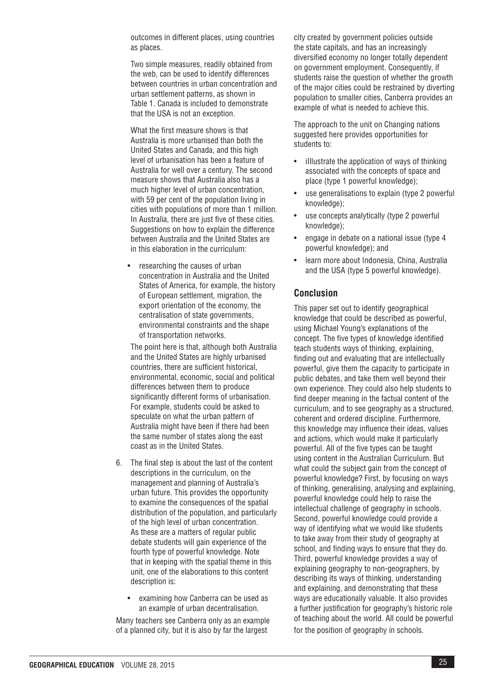outcomes in different places, using countries as places.

Two simple measures, readily obtained from the web, can be used to identify differences between countries in urban concentration and urban settlement patterns, as shown in Table 1. Canada is included to demonstrate that the USA is not an exception.

What the first measure shows is that Australia is more urbanised than both the United States and Canada, and this high level of urbanisation has been a feature of Australia for well over a century. The second measure shows that Australia also has a much higher level of urban concentration, with 59 per cent of the population living in cities with populations of more than 1 million. In Australia, there are just five of these cities. Suggestions on how to explain the difference between Australia and the United States are in this elaboration in the curriculum:

• researching the causes of urban concentration in Australia and the United States of America, for example, the history of European settlement, migration, the export orientation of the economy, the centralisation of state governments, environmental constraints and the shape of transportation networks.

The point here is that, although both Australia and the United States are highly urbanised countries, there are sufficient historical, environmental, economic, social and political differences between them to produce significantly different forms of urbanisation. For example, students could be asked to speculate on what the urban pattern of Australia might have been if there had been the same number of states along the east coast as in the United States.

- 6. The final step is about the last of the content descriptions in the curriculum, on the management and planning of Australia's urban future. This provides the opportunity to examine the consequences of the spatial distribution of the population, and particularly of the high level of urban concentration. As these are a matters of regular public debate students will gain experience of the fourth type of powerful knowledge. Note that in keeping with the spatial theme in this unit, one of the elaborations to this content description is:
	- examining how Canberra can be used as an example of urban decentralisation.

Many teachers see Canberra only as an example of a planned city, but it is also by far the largest

city created by government policies outside the state capitals, and has an increasingly diversified economy no longer totally dependent on government employment. Consequently, if students raise the question of whether the growth of the major cities could be restrained by diverting population to smaller cities, Canberra provides an example of what is needed to achieve this.

The approach to the unit on Changing nations suggested here provides opportunities for students to:

- illlustrate the application of ways of thinking associated with the concepts of space and place (type 1 powerful knowledge);
- use generalisations to explain (type 2 powerful knowledge);
- use concepts analytically (type 2 powerful knowledge);
- engage in debate on a national issue (type 4 powerful knowledge); and
- learn more about Indonesia, China, Australia and the USA (type 5 powerful knowledge).

#### **Conclusion**

This paper set out to identify geographical knowledge that could be described as powerful, using Michael Young's explanations of the concept. The five types of knowledge identified teach students ways of thinking, explaining, finding out and evaluating that are intellectually powerful, give them the capacity to participate in public debates, and take them well beyond their own experience. They could also help students to find deeper meaning in the factual content of the curriculum, and to see geography as a structured, coherent and ordered discipline. Furthermore, this knowledge may influence their ideas, values and actions, which would make it particularly powerful. All of the five types can be taught using content in the Australian Curriculum. But what could the subject gain from the concept of powerful knowledge? First, by focusing on ways of thinking, generalising, analysing and explaining, powerful knowledge could help to raise the intellectual challenge of geography in schools. Second, powerful knowledge could provide a way of identifying what we would like students to take away from their study of geography at school, and finding ways to ensure that they do. Third, powerful knowledge provides a way of explaining geography to non-geographers, by describing its ways of thinking, understanding and explaining, and demonstrating that these ways are educationally valuable. It also provides a further justification for geography's historic role of teaching about the world. All could be powerful for the position of geography in schools.